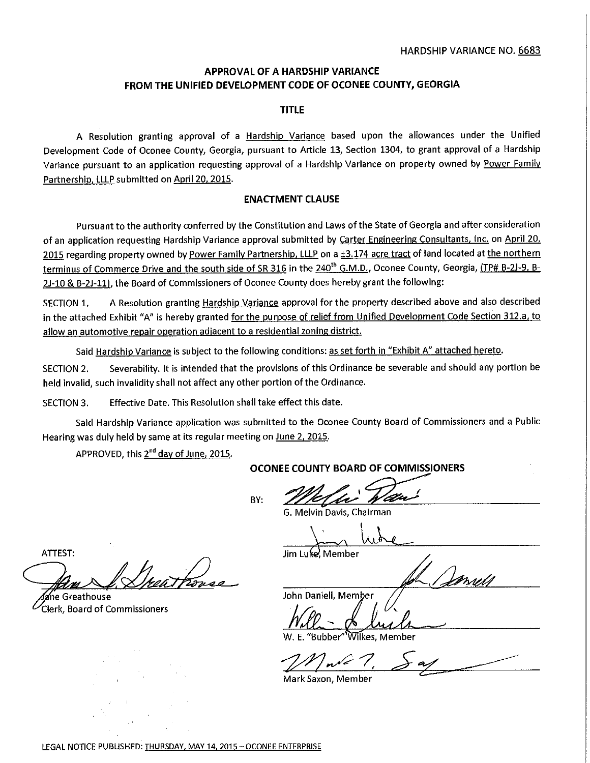# **APPROVAL OF A HARDSHIP VARIANCE FROM THE UNIFIED DEVELOPMENT CODE OF OCONEE COUNTY, GEORGIA**

### **TITLE**

A Resolution granting approval of a Hardship Variance based upon the allowances under the Unified Development Code of Oconee County, Georgia, pursuant to Article 13, Section 1304, to grant approval of a Hardship Variance pursuant to an application requesting approval of a Hardship Variance on property owned by Power Family Partnership, LLLP submitted on April 20, 2015.

## **ENACTMENT CLAUSE**

Pursuant to the authority conferred by the Constitution and Laws of the State of Georgia and after consideration of an application requesting Hardship Variance approval submitted by Carter Engineering Consultants, Inc. on April 20, 2015 regarding property owned by Power Family Partnership, LLLP on a ±3.174 acre tract of land located at the northern terminus of Commerce D<u>rive and the south side of SR 316</u> in the <u>240<sup>th</sup> G.M.D.</u>, Oconee County, Georgia, <u>(TP# B-2J-9, B-</u> 2J-10 & B-2J-11), the Board of Commissioners of Oconee County does hereby grant the following:

SECTION 1. A Resolution granting Hardship Variance approval for the property described above and also described in the attached Exhibit "A" is hereby granted for the purpose of relief from Unified Development Code Section 312.a, to allow an automotive repair operation adjacent to a residential zoning district.

Said Hardship Variance is subject to the following conditions: as set forth in "Exhibit A" attached hereto.

SECTION 2. Severability. It is intended that the provisions of this Ordinance be severable and should any portion be held invalid, such invalidity shall not affect any other portion of the Ordinance.

SECTION 3. Effective Date. This Resolution shall take effect this date.

Said Hardship Variance application was submitted to the Oconee County Board of Commissioners and a Public Hearing was duly held by same at its regular meeting on June 2, 2015.

APPROVED, this 2<sup>nd</sup> day of June, 2015.

BY:

**OCONEE COUNTY BOARD OF COMMISSIONERS**<br>BY:<br>
G. Melvin Davis, Chairman

G. Melvin Davis, Chairman

Jim Luke, Member

Johnes

John Daniell, Member

E. "Bubber" Wilkes, Member

Table  $7$ 

Mark Saxon, Member

ATTEST:<br>Anne Greathouse<br>Clerk, Board of Commissioners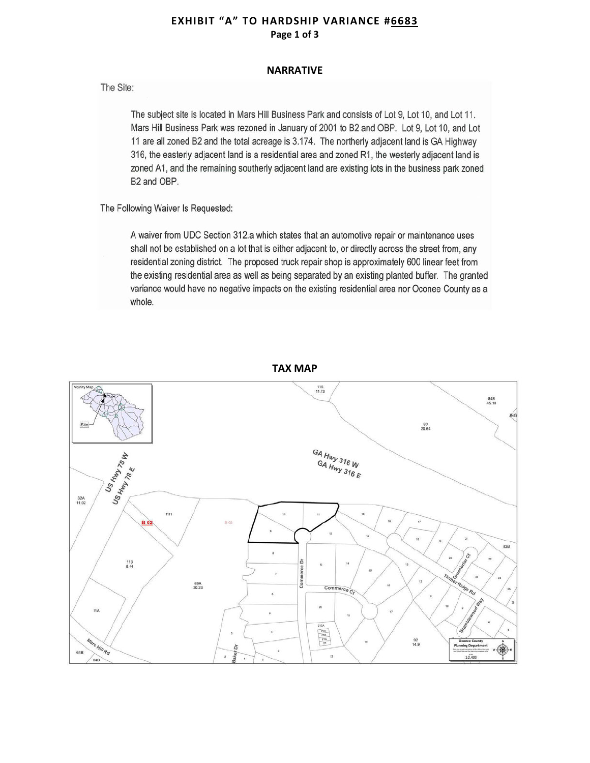# **EXHIBIT "A" TO HARDSHIP VARIANCE #6683 Page 1 of 3**

#### **NARRATIVE**

The Site:

The subject site is located in Mars Hill Business Park and consists of Lot 9, Lot 10, and Lot 11. Mars Hill Business Park was rezoned in January of 2001 to B2 and OBP. Lot 9, Lot 10, and Lot 11 are all zoned B2 and the total acreage is 3.174. The northerly adjacent land is GA Highway 316, the easterly adjacent land is a residential area and zoned R1, the westerly adjacent land is zoned A1, and the remaining southerly adjacent land are existing lots in the business park zoned B2 and OBP.

The Following Waiver Is Requested:

A waiver from UDC Section 312.a which states that an automotive repair or maintenance uses shall not be established on a lot that is either adjacent to, or directly across the street from, any residential zoning district. The proposed truck repair shop is approximately 600 linear feet from the existing residential area as well as being separated by an existing planted buffer. The granted variance would have no negative impacts on the existing residential area nor Oconee County as a whole.



**TAX MAP**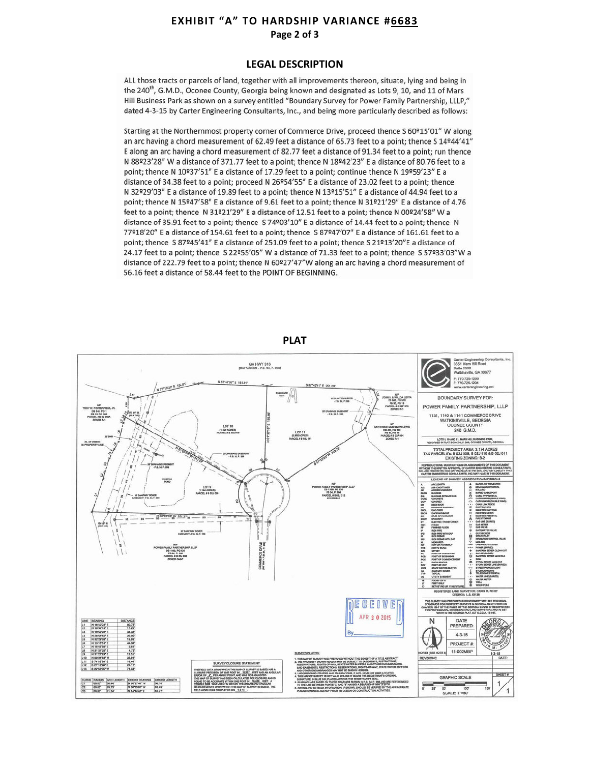# **EXHIBIT "A" TO HARDSHIP VARIANCE #6683 Page 2 of 3**

#### **LEGAL DESCRIPTION**

ALL those tracts or parcels of land, together with all improvements thereon, situate, lying and being in the 240<sup>th</sup>, G.M.D., Oconee County, Georgia being known and designated as Lots 9, 10, and 11 of Mars Hill Business Park as shown on a survey entitled "Boundary Survey for Power Family Partnership, LLLP," dated 4-3-15 by Carter Engineering Consultants, Inc., and being more particularly described as follows:

Starting at the Northernmost property corner of Commerce Drive, proceed thence S 60°15'01" W along an arc having a chord measurement of 62.49 feet a distance of 65.73 feet to a point; thence S 14º44'41" E along an arc having a chord measurement of 82.77 feet a distance of 91.34 feet to a point; run thence N 88º23'28" W a distance of 371.77 feet to a point; thence N 18º42'23" E a distance of 80.76 feet to a point; thence N 10º37'51" E a distance of 17.29 feet to a point; continue thence N 19º59'23" E a distance of 34.38 feet to a point; proceed N 26º54'55" E a distance of 23.02 feet to a point; thence N 32º29'03" E a distance of 19.89 feet to a point; thence N 13º15'51" E a distance of 44.94 feet to a point; thence N 15º47'58" E a distance of 9.61 feet to a point; thence N 31º21'29" E a distance of 4.76 feet to a point; thence N 31º21'29" E a distance of 12.51 feet to a point; thence N 00º24'58" W a distance of 35.91 feet to a point; thence S 74º03'10" E a distance of 14.44 feet to a point; thence N 77º18'20" E a distance of 154.61 feet to a point; thence S 87º47'07" E a distance of 161.61 feet to a point; thence S 87º45'41" E a distance of 251.09 feet to a point; thence S 21º13'20"E a distance of 24.17 feet to a point; thence S 22º55'05" W a distance of 71.33 feet to a point; thence S 57º33'03"W a distance of 222.79 feet to a point; thence N 60º27'47"W along an arc having a chord measurement of 56.16 feet a distance of 58.44 feet to the POINT OF BEGINNING.



**PLAT**